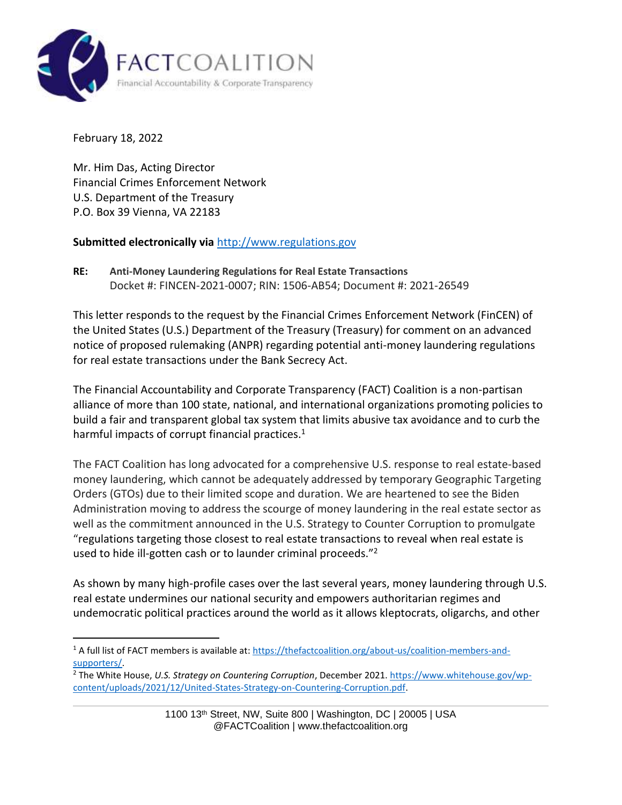

February 18, 2022

Mr. Him Das, Acting Director Financial Crimes Enforcement Network U.S. Department of the Treasury P.O. Box 39 Vienna, VA 22183

#### **Submitted electronically via** [http://www.regulations.gov](http://www.regulations.gov/)

**RE: Anti-Money Laundering Regulations for Real Estate Transactions** Docket #: FINCEN-2021-0007; RIN: 1506-AB54; Document #: 2021-26549

This letter responds to the request by the Financial Crimes Enforcement Network (FinCEN) of the United States (U.S.) Department of the Treasury (Treasury) for comment on an advanced notice of proposed rulemaking (ANPR) regarding potential anti-money laundering regulations for real estate transactions under the Bank Secrecy Act.

The Financial Accountability and Corporate Transparency (FACT) Coalition is a non-partisan alliance of more than 100 state, national, and international organizations promoting policies to build a fair and transparent global tax system that limits abusive tax avoidance and to curb the harmful impacts of corrupt financial practices.<sup>1</sup>

The FACT Coalition has long advocated for a comprehensive U.S. response to real estate-based money laundering, which cannot be adequately addressed by temporary Geographic Targeting Orders (GTOs) due to their limited scope and duration. We are heartened to see the Biden Administration moving to address the scourge of money laundering in the real estate sector as well as the commitment announced in the U.S. Strategy to Counter Corruption to promulgate "regulations targeting those closest to real estate transactions to reveal when real estate is used to hide ill-gotten cash or to launder criminal proceeds."<sup>2</sup>

As shown by many high-profile cases over the last several years, money laundering through U.S. real estate undermines our national security and empowers authoritarian regimes and undemocratic political practices around the world as it allows kleptocrats, oligarchs, and other

<sup>&</sup>lt;sup>1</sup> A full list of FACT members is available at: [https://thefactcoalition.org/about-us/coalition-members-and](https://thefactcoalition.org/about-us/coalition-members-and-supporters/)[supporters/.](https://thefactcoalition.org/about-us/coalition-members-and-supporters/)

<sup>2</sup> The White House, *U.S. Strategy on Countering Corruption*, December 2021. [https://www.whitehouse.gov/wp](https://www.whitehouse.gov/wp-content/uploads/2021/12/United-States-Strategy-on-Countering-Corruption.pdf)[content/uploads/2021/12/United-States-Strategy-on-Countering-Corruption.pdf.](https://www.whitehouse.gov/wp-content/uploads/2021/12/United-States-Strategy-on-Countering-Corruption.pdf)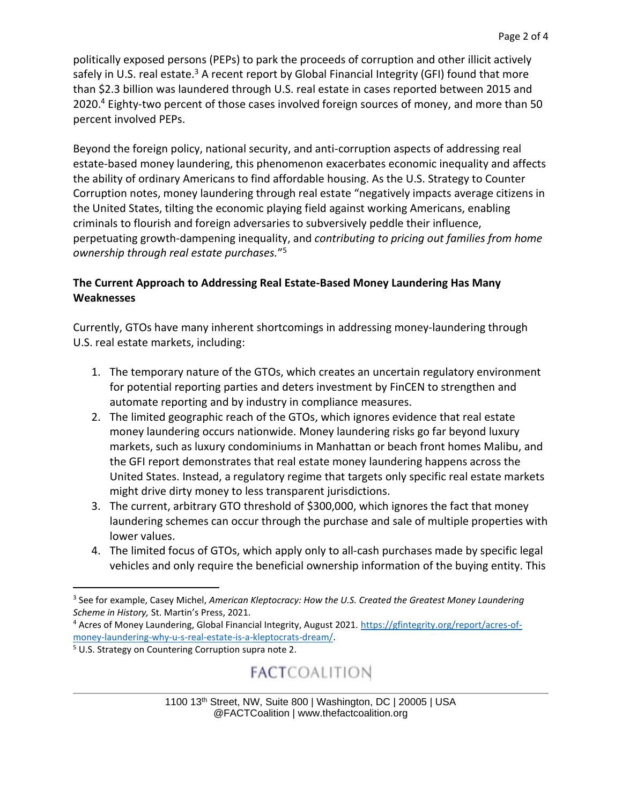politically exposed persons (PEPs) to park the proceeds of corruption and other illicit actively safely in U.S. real estate.<sup>3</sup> A recent report by Global Financial Integrity (GFI) found that more than \$2.3 billion was laundered through U.S. real estate in cases reported between 2015 and 2020.<sup>4</sup> Eighty-two percent of those cases involved foreign sources of money, and more than 50 percent involved PEPs.

Beyond the foreign policy, national security, and anti-corruption aspects of addressing real estate-based money laundering, this phenomenon exacerbates economic inequality and affects the ability of ordinary Americans to find affordable housing. As the U.S. Strategy to Counter Corruption notes, money laundering through real estate "negatively impacts average citizens in the United States, tilting the economic playing field against working Americans, enabling criminals to flourish and foreign adversaries to subversively peddle their influence, perpetuating growth-dampening inequality, and *contributing to pricing out families from home ownership through real estate purchases.*" 5

#### **The Current Approach to Addressing Real Estate-Based Money Laundering Has Many Weaknesses**

Currently, GTOs have many inherent shortcomings in addressing money-laundering through U.S. real estate markets, including:

- 1. The temporary nature of the GTOs, which creates an uncertain regulatory environment for potential reporting parties and deters investment by FinCEN to strengthen and automate reporting and by industry in compliance measures.
- 2. The limited geographic reach of the GTOs, which ignores evidence that real estate money laundering occurs nationwide. Money laundering risks go far beyond luxury markets, such as luxury condominiums in Manhattan or beach front homes Malibu, and the GFI report demonstrates that real estate money laundering happens across the United States. Instead, a regulatory regime that targets only specific real estate markets might drive dirty money to less transparent jurisdictions.
- 3. The current, arbitrary GTO threshold of \$300,000, which ignores the fact that money laundering schemes can occur through the purchase and sale of multiple properties with lower values.
- 4. The limited focus of GTOs, which apply only to all-cash purchases made by specific legal vehicles and only require the beneficial ownership information of the buying entity. This

## **FACTCOALITION**

<sup>&</sup>lt;sup>3</sup> See for example, Casey Michel, American Kleptocracy: How the U.S. Created the Greatest Money Laundering *Scheme in History,* St. Martin's Press, 2021.

<sup>4</sup> Acres of Money Laundering, Global Financial Integrity, August 2021. [https://gfintegrity.org/report/acres-of](https://gfintegrity.org/report/acres-of-money-laundering-why-u-s-real-estate-is-a-kleptocrats-dream/)[money-laundering-why-u-s-real-estate-is-a-kleptocrats-dream/.](https://gfintegrity.org/report/acres-of-money-laundering-why-u-s-real-estate-is-a-kleptocrats-dream/)

<sup>5</sup> U.S. Strategy on Countering Corruption supra note 2.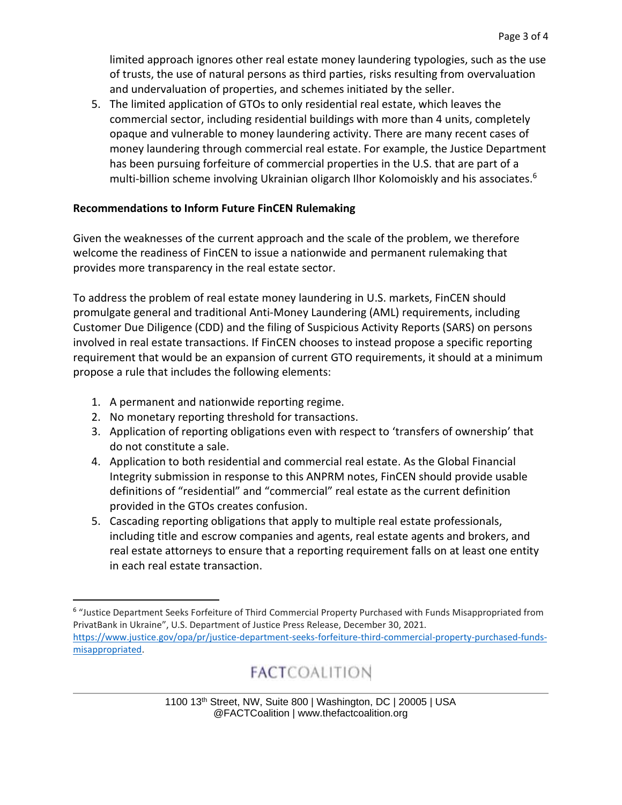limited approach ignores other real estate money laundering typologies, such as the use of trusts, the use of natural persons as third parties, risks resulting from overvaluation and undervaluation of properties, and schemes initiated by the seller.

5. The limited application of GTOs to only residential real estate, which leaves the commercial sector, including residential buildings with more than 4 units, completely opaque and vulnerable to money laundering activity. There are many recent cases of money laundering through commercial real estate. For example, the Justice Department has been pursuing forfeiture of commercial properties in the U.S. that are part of a multi-billion scheme involving Ukrainian oligarch Ilhor Kolomoiskly and his associates.<sup>6</sup>

#### **Recommendations to Inform Future FinCEN Rulemaking**

Given the weaknesses of the current approach and the scale of the problem, we therefore welcome the readiness of FinCEN to issue a nationwide and permanent rulemaking that provides more transparency in the real estate sector.

To address the problem of real estate money laundering in U.S. markets, FinCEN should promulgate general and traditional Anti-Money Laundering (AML) requirements, including Customer Due Diligence (CDD) and the filing of Suspicious Activity Reports (SARS) on persons involved in real estate transactions. If FinCEN chooses to instead propose a specific reporting requirement that would be an expansion of current GTO requirements, it should at a minimum propose a rule that includes the following elements:

- 1. A permanent and nationwide reporting regime.
- 2. No monetary reporting threshold for transactions.
- 3. Application of reporting obligations even with respect to 'transfers of ownership' that do not constitute a sale.
- 4. Application to both residential and commercial real estate. As the Global Financial Integrity submission in response to this ANPRM notes, FinCEN should provide usable definitions of "residential" and "commercial" real estate as the current definition provided in the GTOs creates confusion.
- 5. Cascading reporting obligations that apply to multiple real estate professionals, including title and escrow companies and agents, real estate agents and brokers, and real estate attorneys to ensure that a reporting requirement falls on at least one entity in each real estate transaction.

# **FACTCOALITION**

<sup>6</sup> "Justice Department Seeks Forfeiture of Third Commercial Property Purchased with Funds Misappropriated from PrivatBank in Ukraine", U.S. Department of Justice Press Release, December 30, 2021. [https://www.justice.gov/opa/pr/justice-department-seeks-forfeiture-third-commercial-property-purchased-funds](https://www.justice.gov/opa/pr/justice-department-seeks-forfeiture-third-commercial-property-purchased-funds-misappropriated)[misappropriated.](https://www.justice.gov/opa/pr/justice-department-seeks-forfeiture-third-commercial-property-purchased-funds-misappropriated)